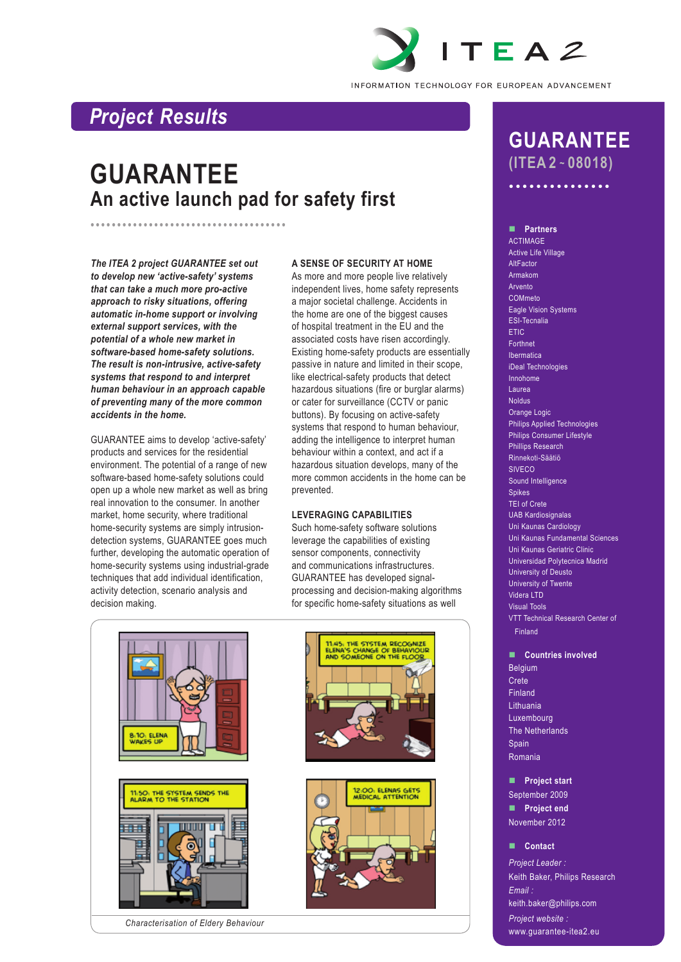

INFORMATION TECHNOLOGY FOR EUROPEAN ADVANCEMENT

## *Project Results*

# **GUARANTEE An active launch pad for safety first**

*The ITEA 2 project GUARANTEE set out to develop new 'active-safety' systems that can take a much more pro-active approach to risky situations, offering automatic in-home support or involving external support services, with the potential of a whole new market in software-based home-safety solutions. The result is non-intrusive, active-safety systems that respond to and interpret human behaviour in an approach capable of preventing many of the more common accidents in the home.* 

•••••••••••••••••••••••••••••••••••••

GUARANTEE aims to develop 'active-safety' products and services for the residential environment. The potential of a range of new software-based home-safety solutions could open up a whole new market as well as bring real innovation to the consumer. In another market, home security, where traditional home-security systems are simply intrusiondetection systems, GUARANTEE goes much further, developing the automatic operation of home-security systems using industrial-grade techniques that add individual identification, activity detection, scenario analysis and decision making.

#### **A SENSE OF SECURITY AT HOME**

As more and more people live relatively independent lives, home safety represents a major societal challenge. Accidents in the home are one of the biggest causes of hospital treatment in the EU and the associated costs have risen accordingly. Existing home-safety products are essentially passive in nature and limited in their scope, like electrical-safety products that detect hazardous situations (fire or burglar alarms) or cater for surveillance (CCTV or panic buttons). By focusing on active-safety systems that respond to human behaviour, adding the intelligence to interpret human behaviour within a context, and act if a hazardous situation develops, many of the more common accidents in the home can be prevented.

#### **LEVERAGING CAPABILITIES**

Such home-safety software solutions leverage the capabilities of existing sensor components, connectivity and communications infrastructures. GUARANTEE has developed signalprocessing and decision-making algorithms for specific home-safety situations as well







## **GUARANTEE (ITEA 2 ~ 08018)**

•••••••••••••••

n **Partners**

ACTIMAGE Active Life Village AltFactor Armakom Arvento COMmeto Eagle Vision Systems ESI-Tecnalia ETIC Forthnet Ibermatica iDeal Technologies Innohome Laurea Noldus Orange Logic Philips Applied Technologies Philips Consumer Lifestyle Phillips Research Rinnekoti-Säätiö SIVECO Sound Intelligence Spikes TEI of Crete UAB Kardiosignalas Uni Kaunas Cardiology Uni Kaunas Fundamental Sciences Uni Kaunas Geriatric Clinic Universidad Polytecnica Madrid University of Deusto University of Twente Videra LTD Visual Tools VTT Technical Research Center of Finland

#### **n** Countries involved

Belgium Crete Finland Lithuania Luxembourg The Netherlands Spain Romania

**n** Project start September 2009 **n** Project end November 2012

#### n **Contact**

*Project Leader :* Keith Baker, Philips Research *Email :* keith.baker@philips.com *Project website :*

www.guarantee-itea2.eu

*Characterisation of Eldery Behaviour*